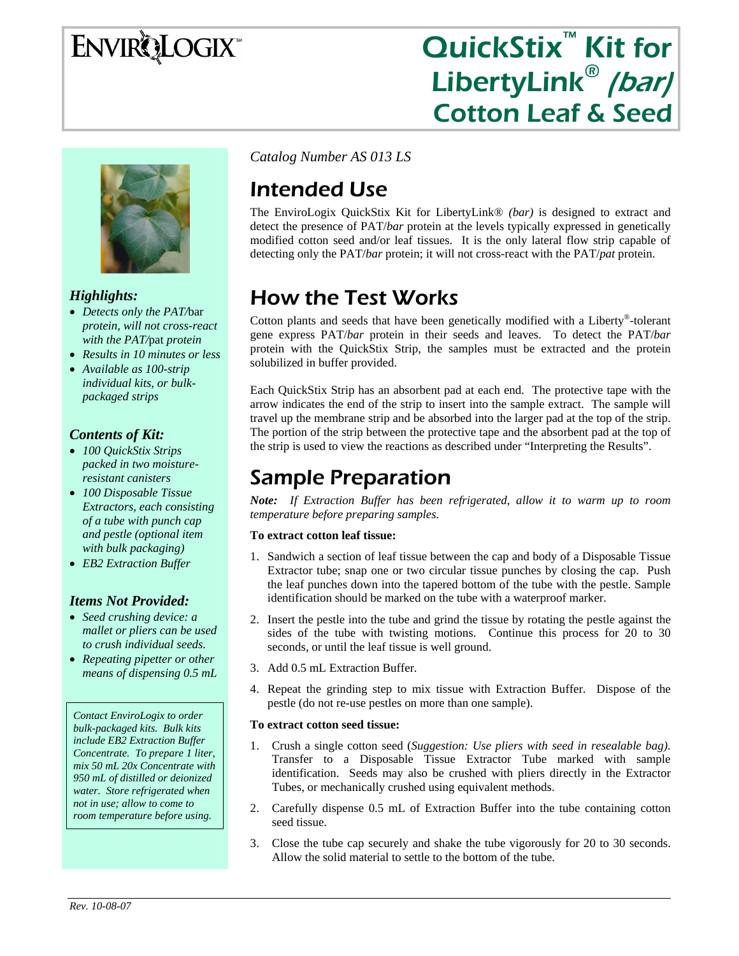# ENVIRQLOGIX

# QuickStix<sup>™</sup> Kit for LibertyLink<sup>®</sup> (bar) Cotton Leaf & Seed



### *Highlights:*

- *Detects only the PAT/*bar *protein, will not cross-react with the PAT/*pat *protein*
- *Results in 10 minutes or less*
- *Available as 100-strip individual kits, or bulkpackaged strips*

### *Contents of Kit:*

- *100 QuickStix Strips packed in two moistureresistant canisters*
- *100 Disposable Tissue Extractors, each consisting of a tube with punch cap and pestle (optional item with bulk packaging)*
- *EB2 Extraction Buffer*

#### *Items Not Provided:*

- *Seed crushing device: a mallet or pliers can be used to crush individual seeds.*
- *Repeating pipetter or other means of dispensing 0.5 mL*

*Contact EnviroLogix to order bulk-packaged kits. Bulk kits include EB2 Extraction Buffer Concentrate. To prepare 1 liter, mix 50 mL 20x Concentrate with 950 mL of distilled or deionized water. Store refrigerated when not in use; allow to come to room temperature before using.* 

*Catalog Number AS 013 LS* 

# Intended Use

The EnviroLogix QuickStix Kit for LibertyLink® *(bar)* is designed to extract and detect the presence of PAT/*bar* protein at the levels typically expressed in genetically modified cotton seed and/or leaf tissues. It is the only lateral flow strip capable of detecting only the PAT/*bar* protein; it will not cross-react with the PAT/*pat* protein.

# How the Test Works

Cotton plants and seeds that have been genetically modified with a Liberty®-tolerant gene express PAT/*bar* protein in their seeds and leaves. To detect the PAT/*bar* protein with the QuickStix Strip, the samples must be extracted and the protein solubilized in buffer provided.

Each QuickStix Strip has an absorbent pad at each end. The protective tape with the arrow indicates the end of the strip to insert into the sample extract. The sample will travel up the membrane strip and be absorbed into the larger pad at the top of the strip. The portion of the strip between the protective tape and the absorbent pad at the top of the strip is used to view the reactions as described under "Interpreting the Results".

## Sample Preparation

*Note: If Extraction Buffer has been refrigerated, allow it to warm up to room temperature before preparing samples.* 

#### **To extract cotton leaf tissue:**

- 1. Sandwich a section of leaf tissue between the cap and body of a Disposable Tissue Extractor tube; snap one or two circular tissue punches by closing the cap. Push the leaf punches down into the tapered bottom of the tube with the pestle. Sample identification should be marked on the tube with a waterproof marker.
- 2. Insert the pestle into the tube and grind the tissue by rotating the pestle against the sides of the tube with twisting motions. Continue this process for 20 to 30 seconds, or until the leaf tissue is well ground.
- 3. Add 0.5 mL Extraction Buffer.
- 4. Repeat the grinding step to mix tissue with Extraction Buffer. Dispose of the pestle (do not re-use pestles on more than one sample).

#### **To extract cotton seed tissue:**

- 1. Crush a single cotton seed (*Suggestion: Use pliers with seed in resealable bag)*. Transfer to a Disposable Tissue Extractor Tube marked with sample identification. Seeds may also be crushed with pliers directly in the Extractor Tubes, or mechanically crushed using equivalent methods.
- 2. Carefully dispense 0.5 mL of Extraction Buffer into the tube containing cotton seed tissue.
- 3. Close the tube cap securely and shake the tube vigorously for 20 to 30 seconds. Allow the solid material to settle to the bottom of the tube.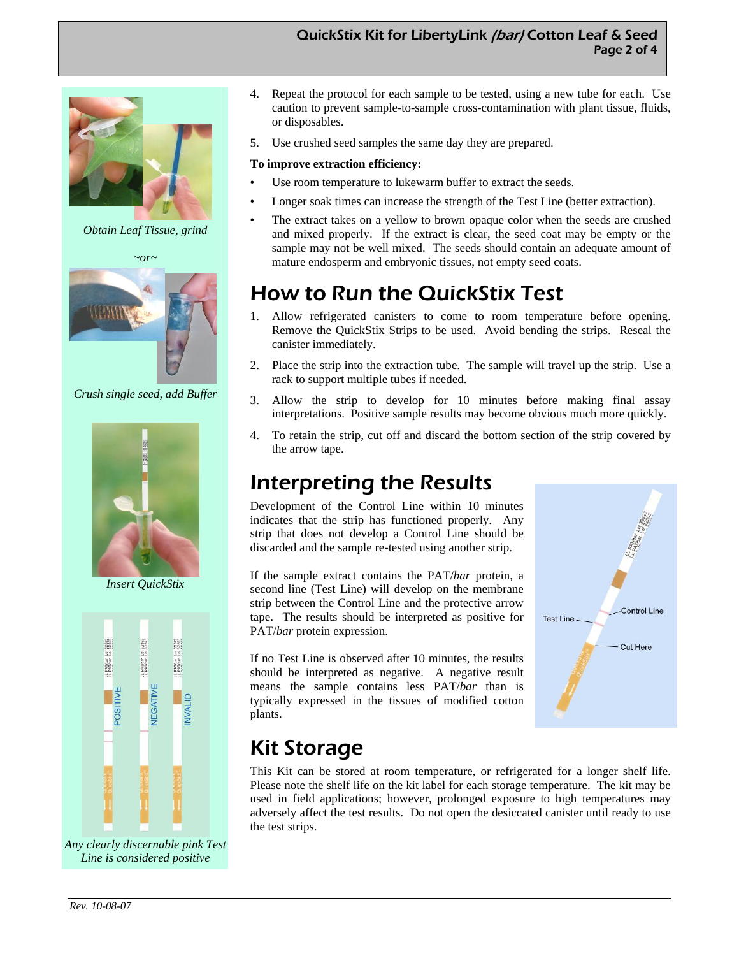### QuickStix Kit for LibertyLink (bar) Cotton Leaf & Seed Page 2 of 4



*Obtain Leaf Tissue, grind* 

*~or~* 



*Crush single seed, add Buffer* 



*Insert QuickStix* 



*Any clearly discernable pink Test Line is considered positive* 

- 4. Repeat the protocol for each sample to be tested, using a new tube for each. Use caution to prevent sample-to-sample cross-contamination with plant tissue, fluids, or disposables.
- 5. Use crushed seed samples the same day they are prepared.

#### **To improve extraction efficiency:**

- Use room temperature to lukewarm buffer to extract the seeds.
- Longer soak times can increase the strength of the Test Line (better extraction).
- The extract takes on a yellow to brown opaque color when the seeds are crushed and mixed properly. If the extract is clear, the seed coat may be empty or the sample may not be well mixed. The seeds should contain an adequate amount of mature endosperm and embryonic tissues, not empty seed coats.

# How to Run the QuickStix Test

- 1. Allow refrigerated canisters to come to room temperature before opening. Remove the QuickStix Strips to be used. Avoid bending the strips. Reseal the canister immediately.
- 2. Place the strip into the extraction tube. The sample will travel up the strip. Use a rack to support multiple tubes if needed.
- 3. Allow the strip to develop for 10 minutes before making final assay interpretations. Positive sample results may become obvious much more quickly.
- 4. To retain the strip, cut off and discard the bottom section of the strip covered by the arrow tape.

## Interpreting the Results

Development of the Control Line within 10 minutes indicates that the strip has functioned properly. Any strip that does not develop a Control Line should be discarded and the sample re-tested using another strip.

If the sample extract contains the PAT/*bar* protein, a second line (Test Line) will develop on the membrane strip between the Control Line and the protective arrow tape. The results should be interpreted as positive for PAT/*bar* protein expression.

If no Test Line is observed after 10 minutes, the results should be interpreted as negative. A negative result means the sample contains less PAT/*bar* than is typically expressed in the tissues of modified cotton plants.



## Kit Storage

This Kit can be stored at room temperature, or refrigerated for a longer shelf life. Please note the shelf life on the kit label for each storage temperature. The kit may be used in field applications; however, prolonged exposure to high temperatures may adversely affect the test results. Do not open the desiccated canister until ready to use the test strips.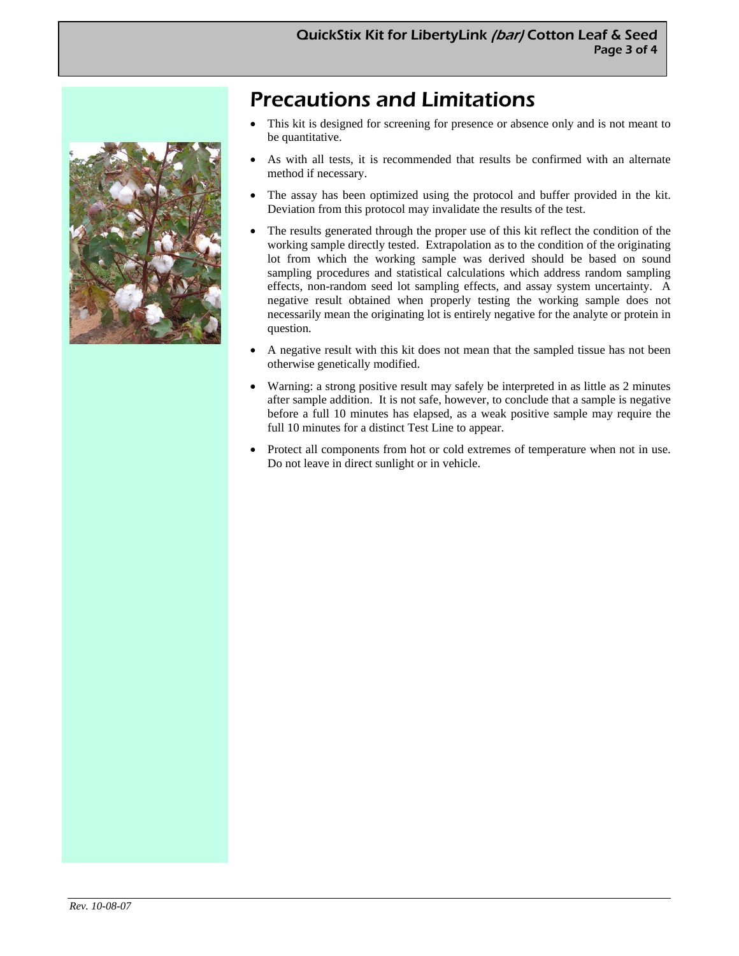# Precautions and Limitations

- This kit is designed for screening for presence or absence only and is not meant to be quantitative.
- As with all tests, it is recommended that results be confirmed with an alternate method if necessary.
- The assay has been optimized using the protocol and buffer provided in the kit. Deviation from this protocol may invalidate the results of the test.
- The results generated through the proper use of this kit reflect the condition of the working sample directly tested. Extrapolation as to the condition of the originating lot from which the working sample was derived should be based on sound sampling procedures and statistical calculations which address random sampling effects, non-random seed lot sampling effects, and assay system uncertainty. A negative result obtained when properly testing the working sample does not necessarily mean the originating lot is entirely negative for the analyte or protein in question.
- A negative result with this kit does not mean that the sampled tissue has not been otherwise genetically modified.
- Warning: a strong positive result may safely be interpreted in as little as 2 minutes after sample addition. It is not safe, however, to conclude that a sample is negative before a full 10 minutes has elapsed, as a weak positive sample may require the full 10 minutes for a distinct Test Line to appear.
- Protect all components from hot or cold extremes of temperature when not in use. Do not leave in direct sunlight or in vehicle.